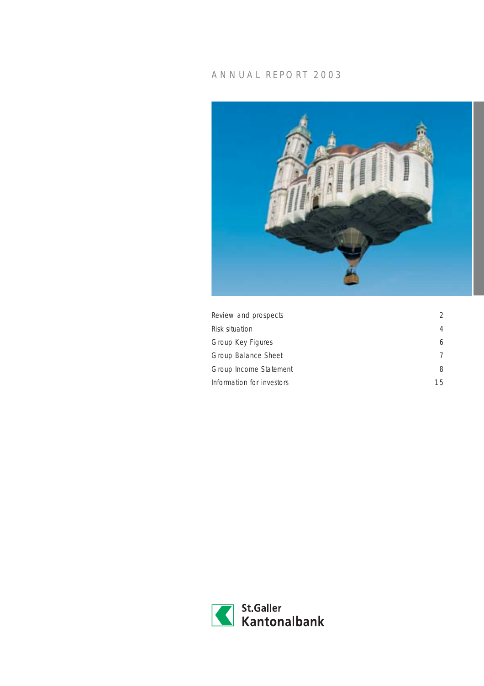## ANNUAL REPORT 2003



| Review and prospects      | $\mathcal{D}$ |
|---------------------------|---------------|
| Risk situation            | 4             |
| Group Key Figures         | 6             |
| Group Balance Sheet       | 7             |
| Group Income Statement    | 8             |
| Information for investors | 15            |

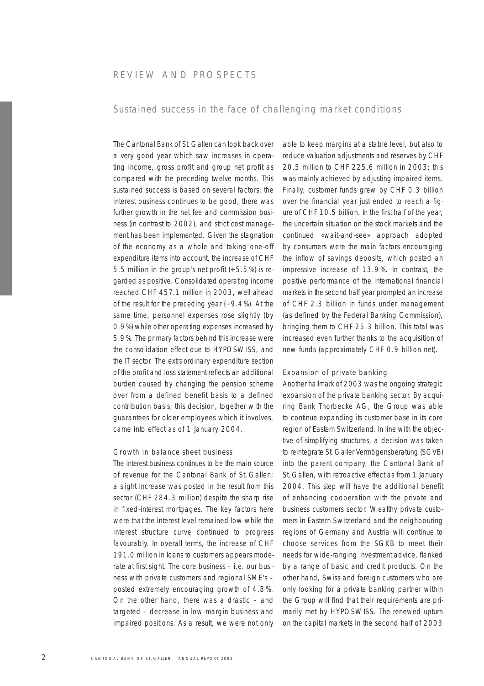## REVIEW AND PROSPECTS

## Sustained success in the face of challenging market conditions

The Cantonal Bank of St.Gallen can look back over a very good year which saw increases in operating income, gross profit and group net profit as compared with the preceding twelve months. This sustained success is based on several factors: the interest business continues to be good, there was further growth in the net fee and commission business (in contrast to 2002), and strict cost management has been implemented. Given the stagnation of the economy as a whole and taking one-off expenditure items into account, the increase of CHF 5.5 million in the group's net profit (+5.5%) is regarded as positive. Consolidated operating income reached CHF 457.1 million in 2003, well ahead of the result for the preceding year  $(+9.4\%)$ . At the same time, personnel expenses rose slightly (by 0.9%) while other operating expenses increased by 5.9%. The primary factors behind this increase were the consolidation effect due to HYPOSWISS, and the IT sector. The extraordinary expenditure section of the profit and loss statement reflects an additional burden caused by changing the pension scheme over from a defined benefit basis to a defined contribution basis; this decision, together with the guarantees for older employees which it involves, came into effect as of 1 January 2004.

## Growth in balance sheet business

The interest business continues to be the main source of revenue for the Cantonal Bank of St.Gallen; a slight increase was posted in the result from this sector (CHF 284.3 million) despite the sharp rise in fixed-interest mortgages. The key factors here were that the interest level remained low while the interest structure curve continued to progress favourably. In overall terms, the increase of CHF 191.0 million in loans to customers appears moderate at first sight. The core business – i.e. our business with private customers and regional SME's – posted extremely encouraging growth of 4.8%. On the other hand, there was a drastic – and targeted – decrease in low-margin business and impaired positions. As a result, we were not only

able to keep margins at a stable level, but also to reduce valuation adjustments and reserves by CHF 20.5 million to CHF 225.6 million in 2003; this was mainly achieved by adjusting impaired items. Finally, customer funds grew by CHF 0.3 billion over the financial year just ended to reach a figure of CHF 10.5 billion. In the first half of the year, the uncertain situation on the stock markets and the continued «wait-and-see» approach adopted by consumers were the main factors encouraging the inflow of savings deposits, which posted an impressive increase of 13.9%. In contrast, the positive performance of the international financial markets in the second half year prompted an increase of CHF 2.3 billion in funds under management (as defined by the Federal Banking Commission), bringing them to CHF 25.3 billion. This total was increased even further thanks to the acquisition of new funds (approximately CHF 0.9 billion net).

### Expansion of private banking

Another hallmark of 2003 was the ongoing strategic expansion of the private banking sector. By acquiring Bank Thorbecke AG, the Group was able to continue expanding its customer base in its core region of Eastern Switzerland. In line with the objective of simplifying structures, a decision was taken to reintegrate St.Galler Vermögensberatung (SGVB) into the parent company, the Cantonal Bank of St.Gallen, with retroactive effect as from 1 January 2004. This step will have the additional benefit of enhancing cooperation with the private and business customers sector. Wealthy private customers in Eastern Switzerland and the neighbouring regions of Germany and Austria will continue to choose services from the SGKB to meet their needs for wide-ranging investment advice, flanked by a range of basic and credit products. On the other hand, Swiss and foreign customers who are only looking for a private banking partner within the Group will find that their requirements are primarily met by HYPOSWISS. The renewed upturn on the capital markets in the second half of 2003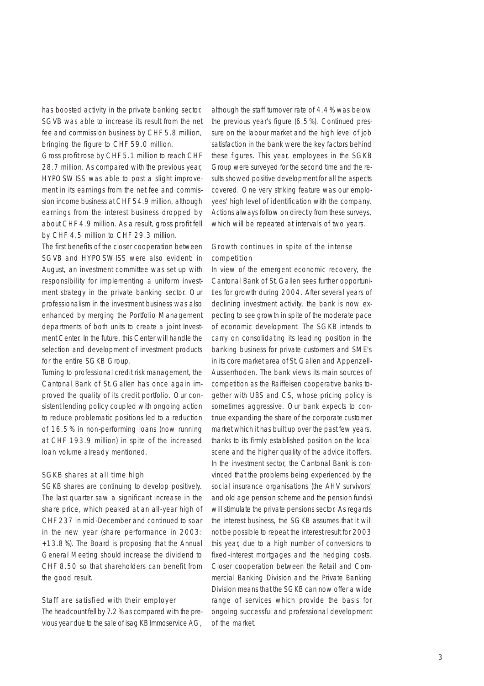has boosted activity in the private banking sector. SGVB was able to increase its result from the net fee and commission business by CHF 5.8 million, bringing the figure to CHF 59.0 million.

Gross profit rose by CHF 5.1 million to reach CHF 28.7 million. As compared with the previous year, HYPOSWISS was able to post a slight improvement in its earnings from the net fee and commission income business at CHF 54.9 million, although earnings from the interest business dropped by about CHF 4.9 million. As a result, gross profit fell by CHF 4.5 million to CHF 29.3 million.

The first benefits of the closer cooperation between SGVB and HYPOSWISS were also evident: in August, an investment committee was set up with responsibility for implementing a uniform investment strategy in the private banking sector. Our professionalism in the investment business was also enhanced by merging the Portfolio Management departments of both units to create a joint Investment Center. In the future, this Center will handle the selection and development of investment products for the entire SGKB Group.

Turning to professional credit risk management, the Cantonal Bank of St.Gallen has once again improved the quality of its credit portfolio. Our consistent lending policy coupled with ongoing action to reduce problematic positions led to a reduction of 16.5% in non-performing loans (now running at CHF 193.9 million) in spite of the increased loan volume already mentioned.

### SGKB shares at all time high

SGKB shares are continuing to develop positively. The last quarter saw a significant increase in the share price, which peaked at an all-year high of CHF 237 in mid-December and continued to soar in the new year (share performance in 2003: +13.8%). The Board is proposing that the Annual General Meeting should increase the dividend to CHF 8.50 so that shareholders can benefit from the good result.

### Staff are satisfied with their employer

The headcount fell by 7.2% as compared with the previous year due to the sale of isag KB Immoservice AG, although the staff turnover rate of 4.4% was below the previous year's figure (6.5%). Continued pressure on the labour market and the high level of job satisfaction in the bank were the key factors behind these figures. This year, employees in the SGKB Group were surveyed for the second time and the results showed positive development for all the aspects covered. One very striking feature was our employees' high level of identification with the company. Actions always follow on directly from these surveys, which will be repeated at intervals of two years.

## Growth continues in spite of the intense competition

In view of the emergent economic recovery, the Cantonal Bank of St.Gallen sees further opportunities for growth during 2004. After several years of declining investment activity, the bank is now expecting to see growth in spite of the moderate pace of economic development. The SGKB intends to carry on consolidating its leading position in the banking business for private customers and SME's in its core market area of St. Gallen and Appenzell-Ausserrhoden. The bank views its main sources of competition as the Raiffeisen cooperative banks together with UBS and CS, whose pricing policy is sometimes aggressive. Our bank expects to continue expanding the share of the corporate customer market which it has built up over the past few years, thanks to its firmly established position on the local scene and the higher quality of the advice it offers. In the investment sector, the Cantonal Bank is convinced that the problems being experienced by the social insurance organisations (the AHV survivors' and old age pension scheme and the pension funds) will stimulate the private pensions sector. As regards the interest business, the SGKB assumes that it will not be possible to repeat the interest result for 2003 this year, due to a high number of conversions to fixed-interest mortgages and the hedging costs. Closer cooperation between the Retail and Commercial Banking Division and the Private Banking Division means that the SGKB can now offer a wide range of services which provide the basis for ongoing successful and professional development of the market.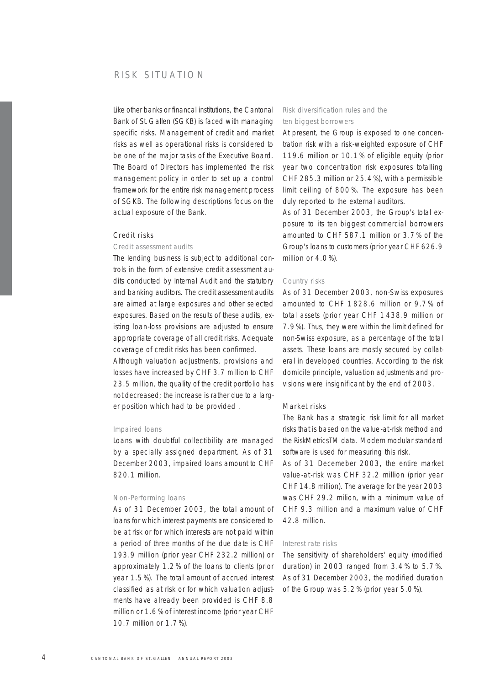## RISK SITUATION

Like other banks or financal institutions, the Cantonal Bank of St.Gallen (SGKB) is faced with managing specific risks. Management of credit and market risks as well as operational risks is considered to be one of the major tasks of the Executive Board. The Board of Directors has implemented the risk management policy in order to set up a control framework for the entire risk management process of SGKB. The following descriptions focus on the actual exposure of the Bank.

## Credit risks

### *Credit assessment audits*

The lending business is subject to additional controls in the form of extensive credit assessment audits conducted by Internal Audit and the statutory and banking auditors. The credit assessment audits are aimed at large exposures and other selected exposures. Based on the results of these audits, existing loan-loss provisions are adjusted to ensure appropriate coverage of all credit risks. Adequate coverage of credit risks has been confirmed.

Although valuation adjustments, provisions and losses have increased by CHF 3.7 million to CHF 23.5 million, the quality of the credit portfolio has not decreased; the increase is rather due to a larger position which had to be provided .

#### *Impaired loans*

Loans with doubtful collectibility are managed by a specially assigned department. As of 31 December 2003, impaired loans amount to CHF 820.1 million.

#### *Non-Performing loans*

As of 31 December 2003, the total amount of loans for which interest payments are considered to be at risk or for which interests are not paid within a period of three months of the due date is CHF 193.9 million (prior year CHF 232.2 million) or approximately 1.2% of the loans to clients (prior year 1.5%). The total amount of accrued interest classified as at risk or for which valuation adjustments have already been provided is CHF 8.8 million or 1.6% of interest income (prior year CHF 10.7 million or 1.7%).

## *Risk diversification rules and the ten biggest borrowers*

At present, the Group is exposed to one concentration risk with a risk-weighted exposure of CHF 119.6 million or 10.1% of eligible equity (prior year two concentration risk exposures totalling CHF 285.3 million or 25.4%), with a permissible limit ceiling of 800%. The exposure has been duly reported to the external auditors.

As of 31 December 2003, the Group's total exposure to its ten biggest commercial borrowers amounted to CHF 587.1 million or 3.7% of the Group's loans to customers (prior year CHF 626.9 million or 4.0%).

## *Country risks*

As of 31 December 2003, non-Swiss exposures amounted to CHF 1828.6 million or 9.7% of total assets (prior year CHF 1438.9 million or 7.9%). Thus, they were within the limit defined for non-Swiss exposure, as a percentage of the total assets. These loans are mostly secured by collateral in developed countries. According to the risk domicile principle, valuation adjustments and provisions were insignificant by the end of 2003.

#### Market risks

The Bank has a strategic risk limit for all market risks that is based on the value-at-risk method and the RiskMetricsTM data. Modern modular standard software is used for measuring this risk.

As of 31 Decemeber 2003, the entire market value-at-risk was CHF 32.2 million (prior year CHF 14.8 million). The average for the year 2003 was CHF 29.2 milion, with a minimum value of CHF 9.3 million and a maximum value of CHF 42.8 million.

#### *Interest rate risks*

The sensitivity of shareholders' equity (modified duration) in 2003 ranged from 3.4% to 5.7%. As of 31 December 2003, the modified duration of the Group was 5.2% (prior year 5.0%).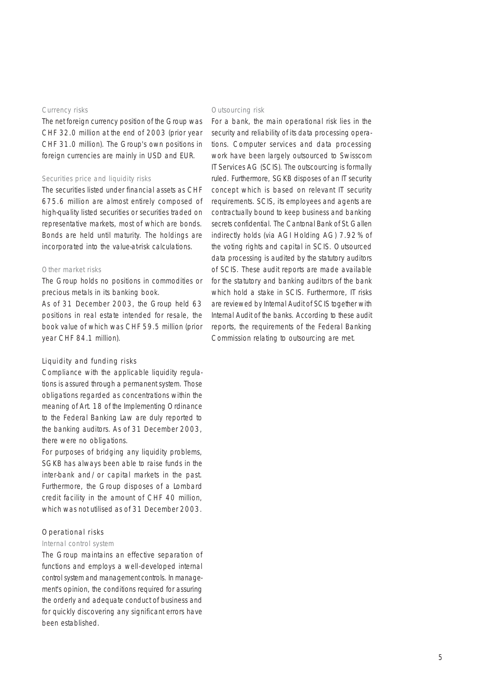#### *Currency risks*

The net foreign currency position of the Group was CHF 32.0 million at the end of 2003 (prior year CHF 31.0 million). The Group's own positions in foreign currencies are mainly in USD and EUR.

### *Securities price and liquidity risks*

The securities listed under financial assets as CHF 675.6 million are almost entirely composed of high-quality listed securities or securities traded on representative markets, most of which are bonds. Bonds are held until maturity. The holdings are incorporated into the value-at-risk calculations.

#### *Other market risks*

The Group holds no positions in commodities or precious metals in its banking book.

As of 31 December 2003, the Group held 63 positions in real estate intended for resale, the book value of which was CHF 59.5 million (prior year CHF 84.1 million).

## Liquidity and funding risks

Compliance with the applicable liquidity regulations is assured through a permanent system. Those obligations regarded as concentrations within the meaning of Art. 18 of the Implementing Ordinance to the Federal Banking Law are duly reported to the banking auditors. As of 31 December 2003, there were no obligations.

For purposes of bridging any liquidity problems, SGKB has always been able to raise funds in the inter-bank and/or capital markets in the past. Furthermore, the Group disposes of a Lombard credit facility in the amount of CHF 40 million, which was not utilised as of 31 December 2003.

## Operational risks

### *Internal control system*

The Group maintains an effective separation of functions and employs a well-developed internal control system and management controls. In management's opinion, the conditions required for assuring the orderly and adequate conduct of business and for quickly discovering any significant errors have been established.

#### *Outsourcing risk*

For a bank, the main operational risk lies in the security and reliability of its data processing operations. Computer services and data processing work have been largely outsourced to Swisscom IT Services AG (SCIS). The outscourcing is formally ruled. Furthermore, SGKB disposes of an IT security concept which is based on relevant IT security requirements. SCIS, its employees and agents are contractually bound to keep business and banking secrets confidential. The Cantonal Bank of St. Gallen indirectly holds (via AGI Holding AG) 7.92% of the voting rights and capital in SCIS. Outsourced data processing is audited by the statutory auditors of SCIS. These audit reports are made available for the statutory and banking auditors of the bank which hold a stake in SCIS. Furthermore, IT risks are reviewed by Internal Audit of SCIS together with Internal Audit of the banks. According to these audit reports, the requirements of the Federal Banking Commission relating to outsourcing are met.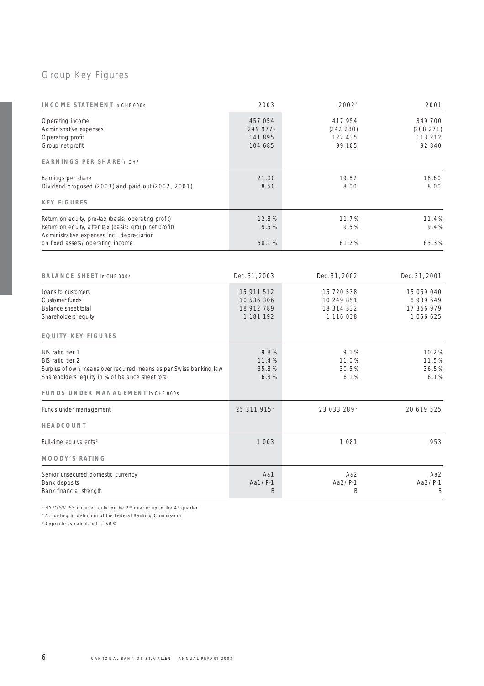# Group Key Figures

| <b>INCOME STATEMENT</b> in CHF 000s                                                                                                                                                                 | 2003                                                | 20021                                               | 2001                                             |
|-----------------------------------------------------------------------------------------------------------------------------------------------------------------------------------------------------|-----------------------------------------------------|-----------------------------------------------------|--------------------------------------------------|
| Operating income<br>Administrative expenses<br>Operating profit<br>Group net profit                                                                                                                 | 457 054<br>(249977)<br>141 895<br>104 685           | 417 954<br>(242 280)<br>122 435<br>99 185           | 349 700<br>(208 271)<br>113 212<br>92 840        |
| <b>EARNINGS PER SHARE in CHF</b>                                                                                                                                                                    |                                                     |                                                     |                                                  |
| Earnings per share<br>Dividend proposed (2003) and paid out (2002, 2001)                                                                                                                            | 21.00<br>8.50                                       | 19.87<br>8.00                                       | 18.60<br>8.00                                    |
| <b>KEY FIGURES</b>                                                                                                                                                                                  |                                                     |                                                     |                                                  |
| Return on equity, pre-tax (basis: operating profit)<br>Return on equity, after tax (basis: group net profit)<br>Administrative expenses incl. depreciation                                          | 12.8%<br>9.5%                                       | 11.7%<br>9.5%                                       | 11.4%<br>9.4%                                    |
| on fixed assets/operating income                                                                                                                                                                    | 58.1%                                               | 61.2%                                               | 63.3%                                            |
| <b>BALANCE SHEET</b> in CHF 000s                                                                                                                                                                    | Dec. 31, 2003                                       | Dec. 31, 2002                                       | Dec. 31, 2001                                    |
| Loans to customers<br>Customer funds<br>Balance sheet total<br>Shareholders' equity                                                                                                                 | 15 911 512<br>10 536 306<br>18 912 789<br>1 181 192 | 15 720 538<br>10 249 851<br>18 314 332<br>1 116 038 | 15 059 040<br>8939649<br>17 366 979<br>1 056 625 |
| <b>EQUITY KEY FIGURES</b>                                                                                                                                                                           |                                                     |                                                     |                                                  |
| BIS ratio tier 1<br>BIS ratio tier 2<br>Surplus of own means over required means as per Swiss banking law<br>Shareholders' equity in % of balance sheet total<br>FUNDS UNDER MANAGEMENT in CHF 000s | 9.8%<br>11.4%<br>35.8%<br>6.3%                      | 9.1%<br>11.0%<br>30.5%<br>6.1%                      | 10.2%<br>11.5%<br>36.5%<br>6.1%                  |
| Funds under management                                                                                                                                                                              | 25 311 915 <sup>2</sup>                             | 23 033 289 <sup>2</sup>                             | 20 619 525                                       |
| HEADCOUNT                                                                                                                                                                                           |                                                     |                                                     |                                                  |
| Full-time equivalents <sup>3</sup>                                                                                                                                                                  | 1 0 0 3                                             | 1 0 8 1                                             | 953                                              |
| <b>MOODY'S RATING</b>                                                                                                                                                                               |                                                     |                                                     |                                                  |
| Senior unsecured domestic currency<br>Bank deposits<br>Bank financial strength                                                                                                                      | Aa1<br>Aa1/P-1<br>B                                 | Aa2<br>Aa2/P-1<br>B                                 | Aa2<br>Aa2/P-1<br>B                              |

<sup>1</sup> HYPOSWISS included only for the 2<sup>nd</sup> quarter up to the 4<sup>th</sup> quarter

<sup>2</sup> According to definition of the Federal Banking Commission

<sup>3</sup> Apprentices calculated at 50%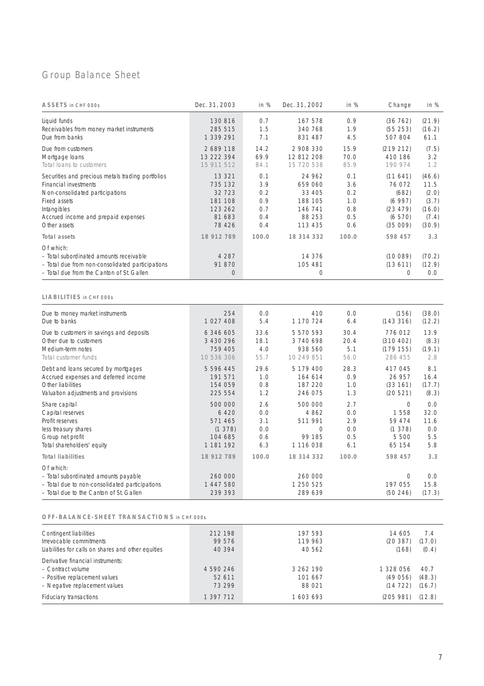# Group Balance Sheet

| ASSETS in CHF 000s                                                                                                                                                                                  | Dec. 31, 2003                                                          | in %                                          | Dec. 31, 2002                                                          | in %                                          | Change                                                                | in %                                                          |
|-----------------------------------------------------------------------------------------------------------------------------------------------------------------------------------------------------|------------------------------------------------------------------------|-----------------------------------------------|------------------------------------------------------------------------|-----------------------------------------------|-----------------------------------------------------------------------|---------------------------------------------------------------|
| Liquid funds<br>Receivables from money market instruments<br>Due from banks                                                                                                                         | 130 816<br>285 515<br>1 339 291                                        | 0.7<br>1.5<br>7.1                             | 167 578<br>340 768<br>831 487                                          | 0.9<br>1.9<br>4.5                             | (36762)<br>(55 253)<br>507 804                                        | (21.9)<br>(16.2)<br>61.1                                      |
| Due from customers<br>Mortgage Ioans<br>Total loans to customers                                                                                                                                    | 2689118<br>13 222 394<br>15 911 512                                    | 14.2<br>69.9<br>84.1                          | 2 908 330<br>12 812 208<br>15 720 538                                  | 15.9<br>70.0<br>85.9                          | (219 212)<br>410 186<br>190 974                                       | (7.5)<br>3.2<br>1.2                                           |
| Securities and precious metals trading portfolios<br>Financial investments<br>Non-consolidated participations<br>Fixed assets<br>Intangibles<br>Accrued income and prepaid expenses<br>Other assets | 13 321<br>735 132<br>32 723<br>181 108<br>123 262<br>81 683<br>78 4 26 | 0.1<br>3.9<br>0.2<br>0.9<br>0.7<br>0.4<br>0.4 | 24 962<br>659 060<br>33 405<br>188 105<br>146 741<br>88 253<br>113 435 | 0.1<br>3.6<br>0.2<br>1.0<br>0.8<br>0.5<br>0.6 | (11641)<br>76 072<br>(682)<br>(6997)<br>(23 479)<br>(6570)<br>(35009) | (46.6)<br>11.5<br>(2.0)<br>(3.7)<br>(16.0)<br>(7.4)<br>(30.9) |
| Total assets                                                                                                                                                                                        | 18 912 789                                                             | 100.0                                         | 18 314 332                                                             | 100.0                                         | 598 457                                                               | 3.3                                                           |
| Of which:<br>- Total subordinated amounts receivable<br>- Total due from non-consolidated participations<br>- Total due from the Canton of St. Gallen                                               | 4 2 8 7<br>91 870<br>0                                                 |                                               | 14 376<br>105 481<br>0                                                 |                                               | (10089)<br>(13611)<br>$\circ$                                         | (70.2)<br>(12.9)<br>0.0                                       |
| LIABILITIES in CHF 000s                                                                                                                                                                             |                                                                        |                                               |                                                                        |                                               |                                                                       |                                                               |
| Due to money market instruments<br>Due to banks                                                                                                                                                     | 254<br>1 027 408                                                       | 0.0<br>5.4                                    | 410<br>1 170 724                                                       | 0.0<br>6.4                                    | (156)<br>(143316)                                                     | (38.0)<br>(12.2)                                              |
| Due to customers in savings and deposits<br>Other due to customers<br>Medium-term notes<br>Total customer funds                                                                                     | 6 346 605<br>3 430 296<br>759 405<br>10 536 306                        | 33.6<br>18.1<br>4.0<br>55.7                   | 5 570 593<br>3 740 698<br>938 560<br>10 249 851                        | 30.4<br>20.4<br>5.1<br>56.0                   | 776012<br>(310 402)<br>(179155)<br>286 455                            | 13.9<br>(8.3)<br>(19.1)<br>2.8                                |
| Debt and loans secured by mortgages<br>Accrued expenses and deferred income<br>Other liabilities<br>Valuation adjustments and provisions                                                            | 5 596 445<br>191 571<br>154 059<br>225 554                             | 29.6<br>1.0<br>0.8<br>1.2                     | 5 179 400<br>164 614<br>187 220<br>246 075                             | 28.3<br>0.9<br>1.0<br>1.3                     | 417 045<br>26 957<br>(33161)<br>(20 521)                              | 8.1<br>16.4<br>(17.7)<br>(8.3)                                |
| Share capital<br>Capital reserves<br>Profit reserves<br>less treasury shares<br>Group net profit<br>Total shareholders' equity                                                                      | 500 000<br>6 4 2 0<br>571 465<br>(1, 378)<br>104 685<br>1 181 192      | 2.6<br>O.O<br>3.1<br>O.O<br>0.6<br>6.3        | 500 000<br>4 8 6 2<br>511 991<br>0<br>99 185<br>1 116 038              | 2.7<br>0.0<br>2.9<br>$0.0$<br>0.5<br>6.1      | 0<br>1558<br>59 474<br>(1378)<br>5 500<br>65 154                      | 0.0<br>32.0<br>11.6<br>0.0<br>5.5<br>5.8                      |
| <b>Total liabilities</b>                                                                                                                                                                            | 18 912 789                                                             | 100.0                                         | 18 314 332                                                             | 100.0                                         | 598 457                                                               | 3.3                                                           |
| Of which:<br>- Total subordinated amounts payable<br>- Total due to non-consolidated participations<br>- Total due to the Canton of St. Gallen                                                      | 260 000<br>1 447 580<br>239 393                                        |                                               | 260 000<br>1 250 525<br>289 639                                        |                                               | 0<br>197 055<br>(50246)                                               | 0.0<br>15.8<br>(17.3)                                         |
| OFF-BALANCE-SHEET TRANSACTIONS in CHF 000s                                                                                                                                                          |                                                                        |                                               |                                                                        |                                               |                                                                       |                                                               |
| Contingent liabilities<br>Irrevocable commitments<br>Liabilities for calls on shares and other equities                                                                                             | 212 198<br>99 576<br>40 394                                            |                                               | 197 593<br>119 963<br>40 562                                           |                                               | 14 605<br>(20387)<br>(168)                                            | 7.4<br>(17.0)<br>(0.4)                                        |
| Derivative financial instruments:<br>- Contract volume<br>- Positive replacement values<br>- Negative replacement values                                                                            | 4 590 246<br>52 611<br>73 299                                          |                                               | 3 262 190<br>101 667<br>88 0 21                                        |                                               | 1 328 056<br>(49056)<br>(14722)                                       | 40.7<br>(48.3)<br>(16.7)                                      |

Fiduciary transactions 1 397 712 1 603 693 (205 981) (12.8)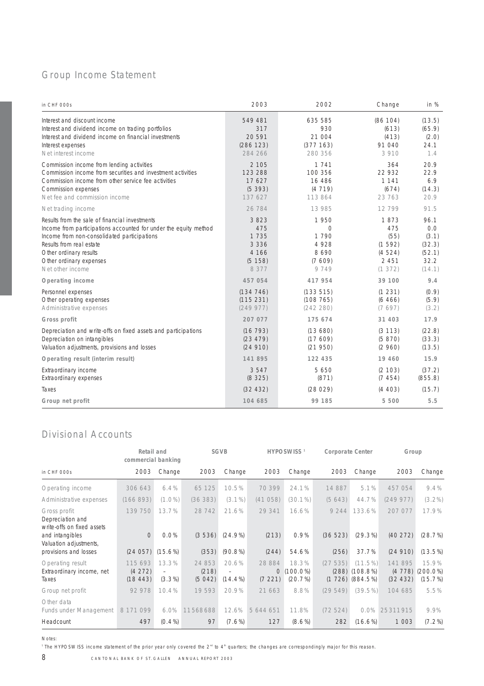# Group Income Statement

| in CHF 000s                                                                                                                                                                                                                                                            | 2003                                                          | 2002                                                              | Change                                                          | in %                                                       |
|------------------------------------------------------------------------------------------------------------------------------------------------------------------------------------------------------------------------------------------------------------------------|---------------------------------------------------------------|-------------------------------------------------------------------|-----------------------------------------------------------------|------------------------------------------------------------|
| Interest and discount income<br>Interest and dividend income on trading portfolios<br>Interest and dividend income on financial investments<br>Interest expenses<br>Net interest income                                                                                | 549 481<br>317<br>20 5 91<br>(286 123)<br>284 266             | 635 585<br>930<br>21 004<br>(377 163)<br>280 356                  | (86 104)<br>(613)<br>(413)<br>91 040<br>3910                    | (13.5)<br>(65.9)<br>(2.0)<br>24.1<br>1.4                   |
| Commission income from lending activities<br>Commission income from securities and investment activities<br>Commission income from other service fee activities<br>Commission expenses<br>Net fee and commission income                                                | 2 1 0 5<br>123 288<br>17 627<br>(5393)<br>137 627             | 1 7 4 1<br>100 356<br>16 486<br>(4719)<br>113 864                 | 364<br>22 932<br>1 1 4 1<br>(674)<br>23 763                     | 20.9<br>22.9<br>6.9<br>(14.3)<br>20.9                      |
| Net trading income                                                                                                                                                                                                                                                     | 26 784                                                        | 13 985                                                            | 12799                                                           | 91.5                                                       |
| Results from the sale of financial investments<br>Income from participations accounted for under the equity method<br>Income from non-consolidated participations<br>Results from real estate<br>Other ordinary results<br>Other ordinary expenses<br>Net other income | 3823<br>475<br>1735<br>3 3 3 6<br>4 166<br>(5 158)<br>8 3 7 7 | 1950<br>$\bigcap$<br>1 7 9 0<br>4 9 2 8<br>8690<br>(7609)<br>9749 | 1873<br>475<br>(55)<br>(1, 592)<br>(4524)<br>2 4 5 1<br>(1 372) | 96.1<br>0.0<br>(3.1)<br>(32.3)<br>(52.1)<br>32.2<br>(14.1) |
| Operating income                                                                                                                                                                                                                                                       | 457 054                                                       | 417 954                                                           | 39 100                                                          | 9.4                                                        |
| Personnel expenses<br>Other operating expenses<br>Administrative expenses                                                                                                                                                                                              | (134746)<br>(115 231)<br>(249977)                             | (133515)<br>(108765)<br>(242 280)                                 | (1231)<br>(6466)<br>(7697)                                      | (0.9)<br>(5.9)<br>(3.2)                                    |
| Gross profit                                                                                                                                                                                                                                                           | 207 077                                                       | 175 674                                                           | 31 403                                                          | 17.9                                                       |
| Depreciation and write-offs on fixed assets and participations<br>Depreciation on intangibles<br>Valuation adjustments, provisions and losses                                                                                                                          | (16793)<br>(23 479)<br>(24910)                                | (13680)<br>(17609)<br>(21950)                                     | (3 113)<br>(5 870)<br>(2960)                                    | (22.8)<br>(33.3)<br>(13.5)                                 |
| Operating result (interim result)                                                                                                                                                                                                                                      | 141 895                                                       | 122 435                                                           | 19 460                                                          | 15.9                                                       |
| Extraordinary income<br>Extraordinary expenses                                                                                                                                                                                                                         | 3547<br>(8325)                                                | 5 6 5 0<br>(871)                                                  | (2 103)<br>(7454)                                               | (37.2)<br>(855.8)                                          |
| Taxes                                                                                                                                                                                                                                                                  | (32 432)                                                      | (28029)                                                           | (4 403)                                                         | (15.7)                                                     |
| Group net profit                                                                                                                                                                                                                                                       | 104 685                                                       | 99 185                                                            | 5 500                                                           | 5.5                                                        |

# Divisional Accounts

|                                                                | Retail and<br>commercial banking |                    |                           | <b>SGVB</b>       |                  | <b>HYPOSWISS<sup>1</sup></b>     | Corporate Center |                                                             | Group                         |                                 |
|----------------------------------------------------------------|----------------------------------|--------------------|---------------------------|-------------------|------------------|----------------------------------|------------------|-------------------------------------------------------------|-------------------------------|---------------------------------|
| in CHF 000s                                                    | 2003                             | Change             | 2003                      | Change            | 2003             | Change                           | 2003             | Change                                                      | 2003                          | Change                          |
| Operating income                                               | 306 643                          | 6.4%               | 65 125                    | 10.5%             | 70 399           | 24.1%                            | 14 887           | 5.1%                                                        | 457 054                       | 9.4%                            |
| Administrative expenses                                        | (166893)                         | $(1.0\%)$          | (36 383)                  | $(3.1\%)$         | (41058)          | $(30.1\%)$                       | (5643)           | 44.7%                                                       | (249977)                      | $(3.2\%)$                       |
| Gross profit<br>Depreciation and<br>write-offs on fixed assets | 139 750                          | 13.7%              | 28 742                    | 21.6%             | 29 341           | 16.6%                            | 9 2 4 4          | 133.6%                                                      | 207 077                       | 17.9%                           |
| and intangibles<br>Valuation adjustments,                      | $\bigcap$                        | 0.0%               | (3536)                    | $(24.9\%)$        | (213)            | 0.9%                             | (36523)          | $(29.3\%)$                                                  | (40272)                       | (28.7%)                         |
| provisions and losses                                          | (24057)                          | $(15.6\%)$         | (353)                     | $(90.8\%)$        | (244)            | 54.6%                            | (256)            | 37.7%                                                       | (24910)                       | $(13.5\%)$                      |
| Operating result<br>Extraordinary income, net<br>Taxes         | 115 693<br>(4272)<br>(18443)     | 13.3%<br>$(3.3\%)$ | 24 853<br>(218)<br>(5042) | 20.6%<br>$14.4\%$ | 28 884<br>(7221) | 18.3%<br>$0(100.0\%)$<br>(20.7%) | (27535)          | $(11.5\%)$<br>$(288)$ $(108.8\%)$<br>$(1\ 726)$ $(884.5\%)$ | 141 895<br>(4778)<br>(32 432) | 15.9%<br>$(200.0\%)$<br>(15.7%) |
| Group net profit                                               | 92 978                           | 10.4%              | 19 593                    | 20.9%             | 21 663           | 8.8%                             | (29549)          | (39.5%)                                                     | 104 685                       | 5.5%                            |
| Other data<br>Funds under Management                           | 099<br>8 1 7 1                   | 6.0%               | 11568688                  | 12.6%             | 5 644 651        | 11.8%                            | (72524)          | 0.0%                                                        | 25311915                      | 9.9%                            |
| Headcount                                                      | 497                              | $(0.4\%)$          | 97                        | $(7.6\%)$         | 127              | $(8.6\%)$                        | 282              | $(16.6\%)$                                                  | 1 003                         | $(7.2\%)$                       |

Notes:

<sup>1</sup> The HYPOSWISS income statement of the prior year only covered the 2<sup>nd</sup> to 4<sup>th</sup> quarters; the changes are correspondingly major for this reason.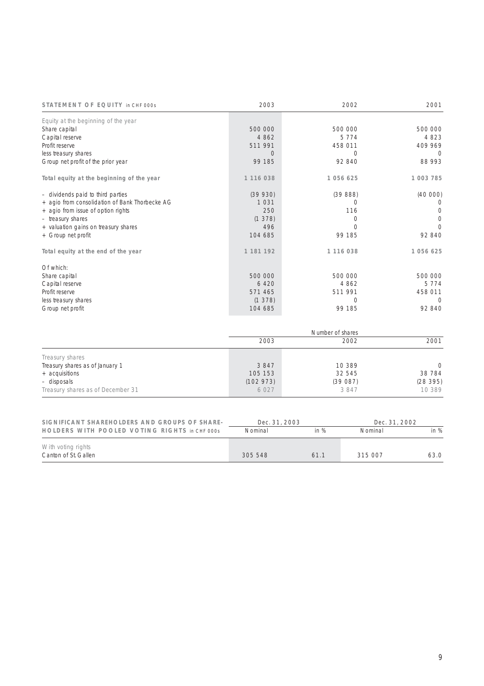| STATEMENT OF EQUITY in CHF 000s                | 2003      | 2002       | 2001       |
|------------------------------------------------|-----------|------------|------------|
| Equity at the beginning of the year            |           |            |            |
| Share capital                                  | 500 000   | 500 000    | 500 000    |
| Capital reserve                                | 4 8 6 2   | 5 7 7 4    | 4 8 2 3    |
| Profit reserve                                 | 511 991   | 458 011    | 409 969    |
| less treasury shares                           | $\Omega$  | 0          | 0          |
| Group net profit of the prior year             | 99 185    | 92 840     | 88 993     |
| Total equity at the beginning of the year      | 1 116 038 | 1 056 625  | 1 003 785  |
| - dividends paid to third parties              | (39930)   | (3988)     | (40000)    |
| + agio from consolidation of Bank Thorbecke AG | 1031      | Ω          |            |
| + agio from issue of option rights             | 250       | 116        |            |
| - treasury shares                              | (1378)    | 0          | $\bigcirc$ |
| + valuation gains on treasury shares           | 496       | $\bigcap$  | $\bigcirc$ |
| + Group net profit                             | 104 685   | 99 185     | 92 840     |
| Total equity at the end of the year            | 1 181 192 | 1 116 038  | 1 056 625  |
| Of which:                                      |           |            |            |
| Share capital                                  | 500 000   | 500 000    | 500 000    |
| Capital reserve                                | 6 4 2 0   | 4 8 6 2    | 5 7 7 4    |
| Profit reserve                                 | 571 465   | 511 991    | 458 011    |
| less treasury shares                           | (1378)    | $\bigcirc$ | $\bigcirc$ |
| Group net profit                               | 104 685   | 99 185     | 92 840     |
|                                                |           |            |            |

|                                   |          | Number of shares |           |  |  |
|-----------------------------------|----------|------------------|-----------|--|--|
|                                   | 2003     | 2002             | 2001      |  |  |
| Treasury shares                   |          |                  |           |  |  |
| Treasury shares as of January 1   | 3847     | 10 389           | $\bigcap$ |  |  |
| + acquisitions                    | 105 153  | 32 545           | 38 7 84   |  |  |
| - disposals                       | (102973) | (39087)          | (28395)   |  |  |
| Treasury shares as of December 31 | 6 0 2 7  | 3847             | 10 389    |  |  |

| SIGNIFICANT SHAREHOLDERS AND GROUPS OF SHARE- | Dec. 31, 2003 |      | Dec. 31, 2002 |      |
|-----------------------------------------------|---------------|------|---------------|------|
| HOLDERS WITH POOLED VOTING RIGHTS in CHF 000s | Nominal       | in % | Nominal       |      |
| With voting rights<br>Canton of St. Gallen    | 305 548       | 611  | 315 007       | 63 O |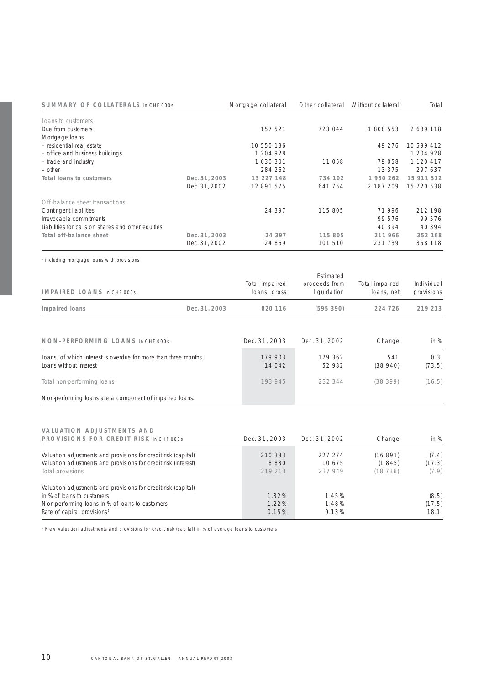| SUMMARY OF COLLATERALS in CHF 000s                 |               | Mortgage collateral | Other collateral | Without collateral <sup>1</sup> | Total      |
|----------------------------------------------------|---------------|---------------------|------------------|---------------------------------|------------|
| Loans to customers                                 |               |                     |                  |                                 |            |
| Due from customers                                 |               | 157 521             | 723 044          | 1 808 553                       | 2689118    |
| Mortgage loans                                     |               |                     |                  |                                 |            |
| - residential real estate                          |               | 10 550 136          |                  | 49 276                          | 10 599 412 |
| - office and business buildings                    |               | 1 204 928           |                  |                                 | 1 204 928  |
| - trade and industry                               |               | 1 030 301           | 11 058           | 79 058                          | 1 120 417  |
| - other                                            |               | 284 262             |                  | 13 375                          | 297 637    |
| Total loans to customers                           | Dec. 31, 2003 | 13 227 148          | 734 102          | 1950262                         | 15 911 512 |
|                                                    | Dec. 31, 2002 | 12 891 575          | 641 754          | 2 187 209                       | 15 720 538 |
| Off-balance sheet transactions                     |               |                     |                  |                                 |            |
| Contingent liabilities                             |               | 24 397              | 115 805          | 71996                           | 212 198    |
| Irrevocable commitments                            |               |                     |                  | 99 576                          | 99 576     |
| Liabilities for calls on shares and other equities |               |                     |                  | 40 394                          | 40 3 9 4   |
| Total off-balance sheet                            | Dec. 31, 2003 | 24 397              | 115 805          | 211 966                         | 352 168    |
|                                                    | Dec. 31, 2002 | 24 869              | 101 510          | 231 739                         | 358 118    |

<sup>1</sup> including mortgage loans with provisions

|                                                                |               |                | Estimated     |                |            |
|----------------------------------------------------------------|---------------|----------------|---------------|----------------|------------|
|                                                                |               | Total impaired | proceeds from | Total impaired | Individual |
| <b>IMPAIRED LOANS in CHF 000s</b>                              |               | loans, gross   | liquidation   | loans, net     | provisions |
| Impaired loans                                                 | Dec. 31, 2003 | 820 116        | (595390)      | 224 726        | 219 213    |
|                                                                |               |                |               |                |            |
| NON-PERFORMING LOANS in CHF 000s                               |               | Dec. 31, 2003  | Dec. 31, 2002 | Change         | in $%$     |
| Loans, of which interest is overdue for more than three months |               | 179 903        | 179 362       | 541            | 0.3        |
| Loans without interest                                         |               | 14 042         | 52 982        | (38940)        | (73.5)     |
| Total non-performing loans                                     |               | 193 945        | 232 344       | (38399)        | (16.5)     |
| Non-performing loans are a component of impaired loans.        |               |                |               |                |            |

# **VALUATION ADJUSTMENTS AND**

| PROVISIONS FOR CREDIT RISK in CHF 000s                          | Dec. 31, 2003 | Dec. 31, 2002 | Change  | in $%$ |
|-----------------------------------------------------------------|---------------|---------------|---------|--------|
| Valuation adjustments and provisions for credit risk (capital)  | 210 383       | 227 274       | (16891) | (7.4)  |
| Valuation adjustments and provisions for credit risk (interest) | 8830          | 10.675        | (1845)  | (17.3) |
| Total provisions                                                | 219 213       | 237 949       | (18736) | (7.9)  |
| Valuation adjustments and provisions for credit risk (capital)  |               |               |         |        |
| in % of loans to customers                                      | 1.32%         | 1.45%         |         | (8.5)  |
| Non-performing loans in % of loans to customers                 | 1.22%         | 1.48%         |         | (17.5) |
| Rate of capital provisions <sup>1</sup>                         | 0.15%         | 0.13%         |         | 18.1   |

<sup>1</sup> New valuation adjustments and provisions for credit risk (capital) in % of average loans to customers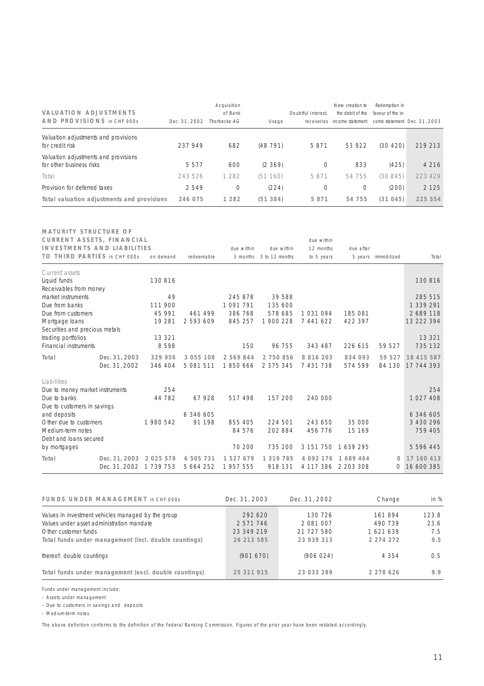| <b>VALUATION ADJUSTMENTS</b><br>AND PROVISIONS in CHF 000s       | Dec. 31, 2002 | Acquisition<br>of Bank<br>Thorbecke AG | Usage    | Doubtful interest. | New creation to<br>the debit of the<br>recoveries income statement | Redemption in<br>favour of the in- | come statement Dec. 31, 2003 |
|------------------------------------------------------------------|---------------|----------------------------------------|----------|--------------------|--------------------------------------------------------------------|------------------------------------|------------------------------|
| Valuation adjustments and provisions<br>for credit risk          | 237 949       | 682                                    | (48791)  | 5871               | 53 922                                                             | (30 420)                           | 219 213                      |
| Valuation adjustments and provisions<br>for other business risks | 5577          | 600                                    | (2, 369) |                    | 833                                                                | (425)                              | 4 2 1 6                      |
| Total                                                            | 243 526       | 1 2 8 2                                | (51160)  | 5 8 7 1            | 54 755                                                             | (30845)                            | 223 429                      |
| Provision for deferred taxes                                     | 2549          | 0                                      | (224)    |                    | 0                                                                  | (200)                              | 2 1 2 5                      |
| Total valuation adjustments and provisions                       | 246 075       | 1 2 8 2                                | (51384)  | 5 8 7 1            | 54 755                                                             | (31045)                            | 225 554                      |

| <b>MATURITY STRUCTURE OF</b><br>CURRENT ASSETS, FINANCIAL<br><b>INVESTMENTS AND LIABILITIES</b> |                         |               |            | due within | due within     | due within<br>12 months | due after           |                     |               |
|-------------------------------------------------------------------------------------------------|-------------------------|---------------|------------|------------|----------------|-------------------------|---------------------|---------------------|---------------|
| TO THIRD PARTIES in CHF 000s                                                                    |                         | on demand     | redeemable | 3 months   | 3 to 12 months | to 5 years              |                     | 5 years immobilized | Total         |
| Current assets                                                                                  |                         |               |            |            |                |                         |                     |                     |               |
| Liquid funds<br>Receivables from money                                                          |                         | 130 816       |            |            |                |                         |                     |                     | 130 816       |
| market instruments                                                                              |                         | 49            |            | 245 878    | 39 588         |                         |                     |                     | 285 515       |
| Due from banks                                                                                  |                         | 111 900       |            | 1 091 791  | 135 600        |                         |                     |                     | 1 339 291     |
| Due from customers                                                                              |                         | 45 991        | 461 499    | 386 768    | 578 685        | 1031094                 | 185 081             |                     | 2 689 118     |
| Mortgage loans                                                                                  |                         | 19 281        | 2 593 609  | 845 257    | 1 900 228      | 7 441 622               | 422 397             |                     | 13 222 394    |
| Securities and precious metals                                                                  |                         |               |            |            |                |                         |                     |                     |               |
| trading portfolios                                                                              |                         | 13 3 21       |            |            |                |                         |                     |                     | 13 3 21       |
| Financial instruments                                                                           |                         | 8598          |            | 150        | 96 755         | 343 487                 | 226 615             | 59 527              | 735 132       |
| Total                                                                                           | Dec. 31, 2003           | 329 956       | 3 055 108  | 2 569 844  | 2 750 856      | 8 8 1 6 2 0 3           | 834 093             | 59 527              | 18 415 587    |
|                                                                                                 | Dec. 31, 2002           | 346 404       | 5 081 511  | 1850666    | 2 375 345      | 7 431 738               | 574 599             | 84 130              | 17 744 393    |
| Liabilities                                                                                     |                         |               |            |            |                |                         |                     |                     |               |
| Due to money market instruments                                                                 |                         | 254           |            |            |                |                         |                     |                     | 254           |
| Due to banks                                                                                    |                         | 44 782        | 67928      | 517 498    | 157 200        | 240 000                 |                     |                     | 1 027 408     |
| Due to customers in savings                                                                     |                         |               |            |            |                |                         |                     |                     |               |
| and deposits                                                                                    |                         |               | 6 346 605  |            |                |                         |                     |                     | 6 346 605     |
| Other due to customers                                                                          |                         | 1980542       | 91 1 98    | 855 405    | 224 501        | 243 650                 | 35 000              |                     | 3 430 296     |
| Medium-term notes                                                                               |                         |               |            | 84 576     | 202 884        | 456 776                 | 15 169              |                     | 759 405       |
| Debt and loans secured                                                                          |                         |               |            |            |                |                         |                     |                     |               |
| by mortgages                                                                                    |                         |               |            | 70 200     | 735 200        | 3 151 750               | 1639295             |                     | 5 5 9 6 4 4 5 |
| Total                                                                                           | Dec. 31, 2003 2 025 578 |               | 6 505 731  | 1 527 679  | 1 319 785      | 4 0 9 2 1 7 6           | 1689464             | $\Omega$            | 17 160 413    |
|                                                                                                 | Dec. 31, 2002           | 1 7 3 9 7 5 3 | 5 664 252  | 1 957 555  | 918 131        |                         | 4 117 386 2 203 308 | 0                   | 16 600 385    |

| FUNDS UNDER MANAGEMENT in CHF 000s                    | Dec. 31, 2003 | Dec. 31, 2002 | Change        | in $%$ |
|-------------------------------------------------------|---------------|---------------|---------------|--------|
| Values in investment vehicles managed by the group    | 292.620       | 130 726       | 161894        | 123.8  |
| Values under asset administration mandate             | 2 571 746     | 2 081 007     | 490 739       | 23.6   |
| Other customer funds                                  | 23 349 219    | 21 727 580    | 1621639       | 7.5    |
| Total funds under management (incl. double countings) | 26 213 585    | 23 939 313    | 2 2 7 4 2 7 2 | 9.5    |
| thereof: double countings                             | (901670)      | (906024)      | 4 354         | 0.5    |
| Total funds under management (excl. double countings) | 25 311 915    | 23 033 289    | 2 278 626     | 9.9    |

Funds under management include:

– Assets under management

– Due to customers in savings and deposits

– Medium-term notes

The above definition conforms to the definition of the Federal Banking Commission. Figures of the prior year have been restated accordingly.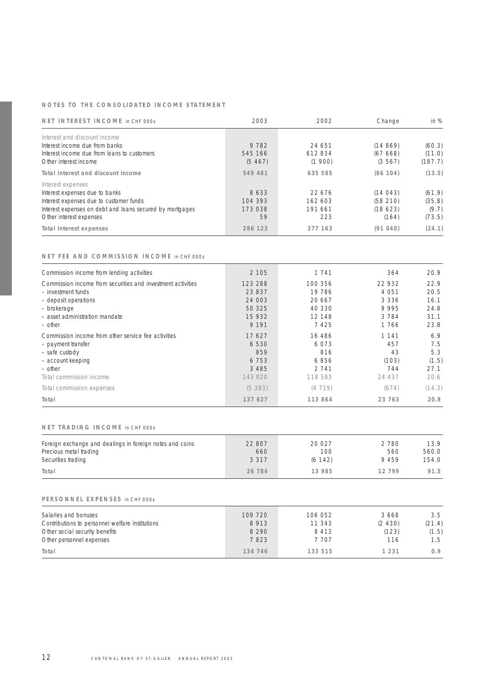## **NOTES TO THE CONSOLIDATED INCOME STATEMENT**

| NET INTEREST INCOME in CHF 000s                                                                                                                                                       | 2003                             | 2002                                | Change                                 | in $%$                              |
|---------------------------------------------------------------------------------------------------------------------------------------------------------------------------------------|----------------------------------|-------------------------------------|----------------------------------------|-------------------------------------|
| Interest and discount income<br>Interest income due from banks<br>Interest income due from loans to customers<br>Other interest income                                                | 9 7 8 2<br>545 166<br>(5467)     | 24 651<br>612834<br>(1900)          | (14869)<br>(67668)<br>(3567)           | (60.3)<br>(11.0)<br>(187.7)         |
| Total interest and discount income                                                                                                                                                    | 549 481                          | 635 585                             | (86 104)                               | (13.5)                              |
| Interest expenses<br>Interest expenses due to banks<br>Interest expenses due to customer funds<br>Interest expenses on debt and loans secured by mortgages<br>Other interest expenses | 8633<br>104 393<br>173 038<br>59 | 22.676<br>162 603<br>191 661<br>223 | (14043)<br>(58210)<br>(18623)<br>(164) | (61.9)<br>(35.8)<br>(9.7)<br>(73.5) |
| Total interest expenses                                                                                                                                                               | 286 123                          | 377 163                             | (91040)                                | (24.1)                              |

### **NET FEE AND COMMISSION INCOME** in CHF 000s

| Commission income from lending activities                                         | 2 1 0 5           | 1 7 4 1           | 364               | 20.9         |
|-----------------------------------------------------------------------------------|-------------------|-------------------|-------------------|--------------|
| Commission income from securities and investment activities<br>- investment funds | 123 288<br>23 837 | 100 356<br>19 786 | 22 932<br>4 0 5 1 | 22.9<br>20.5 |
| - deposit operations<br>- brokerage                                               | 24 003<br>50 325  | 20.667<br>40 330  | 3 3 3 6<br>9995   | 16.1<br>24.8 |
| - asset administration mandate                                                    | 15 932            | 12 148            | 3784              | 31.1         |
| - other                                                                           | 9 1 9 1           | 7425              | 1766              | 23.8         |
| Commission income from other service fee activities<br>- payment transfer         | 17627<br>6 5 3 0  | 16 486<br>6.073   | 1 1 4 1<br>457    | 6.9<br>7.5   |
| - safe custody<br>- account keeping                                               | 859<br>6 7 5 3    | 816<br>6856       | 43<br>(103)       | 5.3<br>(1.5) |
| $-$ other                                                                         | 3 4 8 5           | 2 7 4 1           | 744               | 27.1         |
| Total commission income                                                           | 143 020           | 118 583           | 24 437            | 20.6         |
| Total commission expenses                                                         | (5393)            | (4719)            | (674)             | (14.3)       |
| Total                                                                             | 137 627           | 113 864           | 23 763            | 20.9         |

#### **NET TRADING INCOME** in CHF 000s

| Foreign exchange and dealings in foreign notes and coins | 22 807  | 20 027   | 2780  | 13.9  |
|----------------------------------------------------------|---------|----------|-------|-------|
| Precious metal trading                                   | 660     | 100      | 560   | 560.0 |
| Securities trading                                       | 3 3 1 7 | (6 142)  | 9459  | 154.0 |
| Total                                                    | 26 784  | 13 9 8 5 | 12799 | 91.5  |

#### **PERSONNEL EXPENSES** in CHF 000s

| Salaries and bonuses                            | 109 720 | 106 052 | 3668     | 3.5    |
|-------------------------------------------------|---------|---------|----------|--------|
| Contributions to personnel welfare institutions | 8913    | 11 343  | (2, 430) | (21.4) |
| Other social security benefits                  | 8 2 9 0 | 8413    | (123)    | (1.5)  |
| Other personnel expenses                        | 7823    | 7 707   | 116      | 1.5    |
| Total                                           | 134 746 | 133 515 | 1 231    | 0.9    |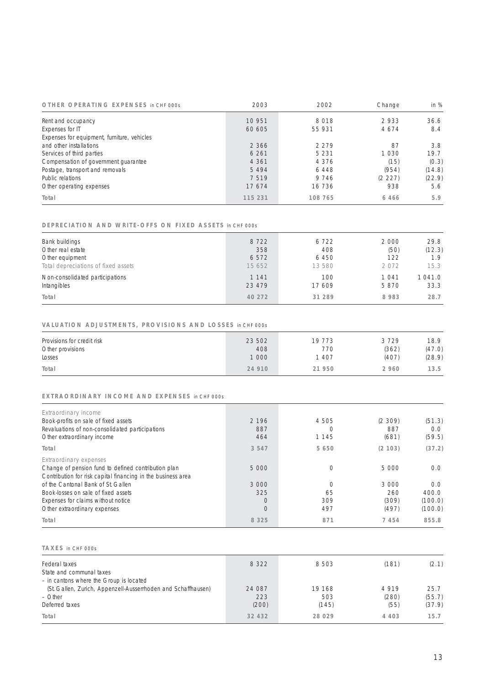| OTHER OPERATING EXPENSES in CHF 000s        | 2003    | 2002    | Change  | in $%$ |
|---------------------------------------------|---------|---------|---------|--------|
| Rent and occupancy                          | 10 951  | 8018    | 2933    | 36.6   |
| Expenses for IT                             | 60 605  | 55 931  | 4674    | 8.4    |
| Expenses for equipment, furniture, vehicles |         |         |         |        |
| and other installations                     | 2 3 6 6 | 2279    | 87      | 3.8    |
| Services of third parties                   | 6 2 6 1 | 5 2 3 1 | 1 0 3 0 | 19.7   |
| Compensation of government quarantee        | 4 3 6 1 | 4 3 7 6 | (15)    | (0.3)  |
| Postage, transport and removals             | 5 4 9 4 | 6448    | (954)   | (14.8) |
| Public relations                            | 7519    | 9 7 4 6 | (2 227) | (22.9) |
| Other operating expenses                    | 17674   | 16 736  | 938     | 5.6    |
| Total                                       | 115 231 | 108 765 | 6 4 6 6 | 5.9    |

#### **DEPRECIATION AND WRITE-OFFS ON FIXED ASSETS** in CHF 000s

| Bank buildings                      | 8722    | 6722   | 2000  | 29.8   |
|-------------------------------------|---------|--------|-------|--------|
| Other real estate                   | 358     | 408    | (50)  | (12.3) |
| Other equipment                     | 6572    | 6450   | 122   | 1.9    |
| Total depreciations of fixed assets | 15 652  | 13 580 | 2072  | 15.3   |
| Non-consolidated participations     | 1 1 4 1 | 100    | 1 041 | 1041.0 |
| Intangibles                         | 23 479  | 17 609 | 5870  | 33.3   |
| Total                               | 40 272  | 31 289 | 8983  | 28.7   |

## **VALUATION ADJUSTMENTS, PROVISIONS AND LOSSES** in CHF 000s

| Provisions for credit risk | 23 502 | 19 773 | 3729    | 18.9   |
|----------------------------|--------|--------|---------|--------|
| Other provisions           | 408    | 770    | (362)   | (47.0) |
| Losses                     | 1 000  | 1 407  | (407)   | (28.9) |
| Total                      | 24 910 | 21 950 | 2 9 6 0 | 13.5   |

## **EXTRAORDINARY INCOME AND EXPENSES** in CHF 000s

| Extraordinary income<br>Book-profits on sale of fixed assets<br>Revaluations of non-consolidated participations<br>Other extraordinary income | 2 1 9 6<br>887<br>464 | 4 505<br>1 1 4 5 | (2, 309)<br>887<br>(681) | (51.3)<br>0.0<br>(59.5) |
|-----------------------------------------------------------------------------------------------------------------------------------------------|-----------------------|------------------|--------------------------|-------------------------|
| Total                                                                                                                                         | 3 5 4 7               | 5 650            | (2 103)                  | (37.2)                  |
| Extraordinary expenses<br>Change of pension fund to defined contribution plan<br>Contribution for risk capital financing in the business area | 5 0 0 0               |                  | 5 000                    | 0.0                     |
| of the Cantonal Bank of St. Gallen                                                                                                            | 3 000                 |                  | 3 000                    | 0.0                     |
| Book-losses on sale of fixed assets                                                                                                           | 325                   | 65               | 260                      | 400.0                   |
| Expenses for claims without notice                                                                                                            | $\bigcirc$            | 309              | (309)                    | (100.0)                 |
| Other extraordinary expenses                                                                                                                  | $\circ$               | 497              | (497)                    | (100.0)                 |
| Total                                                                                                                                         | 8 3 2 5               | 871              | 7454                     | 855.8                   |

## **TAXES** in CHF 000s

| Federal taxes                                                 | 8 3 2 2 | 8 5 0 3 | (181)   | (2.1)  |
|---------------------------------------------------------------|---------|---------|---------|--------|
| State and communal taxes                                      |         |         |         |        |
| - in cantons where the Group is located                       |         |         |         |        |
| (St. Gallen, Zurich, Appenzell-Ausserrhoden and Schaffhausen) | 24 087  | 19 168  | 4919    | 25.7   |
| $-$ Other                                                     | 223     | 503     | (280)   | (55.7) |
| Deferred taxes                                                | (200)   | (145)   | (55)    | (37.9) |
| Total                                                         | 32 432  | 28 0 29 | 4 4 0 3 | 15.7   |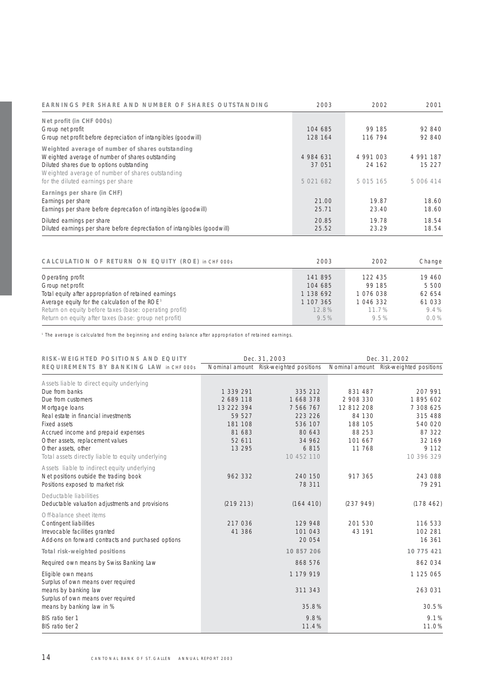| EARNINGS PER SHARE AND NUMBER OF SHARES OUTSTANDING                                                                                                                                                                                         | 2003                             | 2002                             | 2001                             |
|---------------------------------------------------------------------------------------------------------------------------------------------------------------------------------------------------------------------------------------------|----------------------------------|----------------------------------|----------------------------------|
| Net profit (in CHF 000s)<br>Group net profit<br>Group net profit before depreciation of intangibles (goodwill)                                                                                                                              | 104 685<br>128 164               | 99 185<br>116 794                | 92840<br>92840                   |
| Weighted average of number of shares outstanding<br>Weighted average of number of shares outstanding<br>Diluted shares due to options outstanding<br>Weighted average of number of shares outstanding<br>for the diluted earnings per share | 4 984 631<br>37 051<br>5 021 682 | 4 991 003<br>24 162<br>5 015 165 | 4 991 187<br>15 227<br>5 006 414 |
| Earnings per share (in CHF)<br>Earnings per share<br>Earnings per share before deprecation of intangibles (goodwill)                                                                                                                        | 21.00<br>25.71                   | 19.87<br>23.40                   | 18.60<br>18.60                   |
| Diluted earnings per share<br>Diluted earnings per share before deprectiation of intangibles (goodwill)                                                                                                                                     | 20.85<br>25.52                   | 19.78<br>23.29                   | 18.54<br>18.54                   |

| CALCULATION OF RETURN ON EQUITY (ROE) in CHF 000s          | 2003      | 2002      | Change  |
|------------------------------------------------------------|-----------|-----------|---------|
| Operating profit                                           | 141895    | 122 435   | 19460   |
| Group net profit                                           | 104 685   | 99 185    | 5 500   |
| Total equity after appropriation of retained earnings      | 1 138 692 | 1076038   | 62 654  |
| Average equity for the calculation of the ROE <sup>1</sup> | 1 107 365 | 1 046 332 | 61 033  |
| Return on equity before taxes (base: operating profit)     | 12.8%     | 11.7%     | $9.4\%$ |
| Return on equity after taxes (base: group net profit)      | 9.5%      | 9.5%      | $0.0\%$ |

<sup>1</sup> The average is calculated from the beginning and ending balance after appropriation of retained earnings.

| RISK-WEIGHTED POSITIONS AND EQUITY                 | Dec. 31, 2003 |                                        | Dec. 31, 2002 |                                        |
|----------------------------------------------------|---------------|----------------------------------------|---------------|----------------------------------------|
| REQUIREMENTS BY BANKING LAW in CHF 000s            |               | Nominal amount Risk-weighted positions |               | Nominal amount Risk-weighted positions |
| Assets liable to direct equity underlying          |               |                                        |               |                                        |
| Due from banks                                     | 1 339 291     | 335 212                                | 831 487       | 207 991                                |
| Due from customers                                 | 2689118       | 1 668 378                              | 2 908 330     | 1895602                                |
| Mortgage loans                                     | 13 222 394    | 7 566 767                              | 12 812 208    | 7 308 625                              |
| Real estate in financial investments               | 59 527        | 223 226                                | 84 130        | 315 488                                |
| Fixed assets                                       | 181 108       | 536 107                                | 188 105       | 540 020                                |
| Accrued income and prepaid expenses                | 81 683        | 80 643                                 | 88 253        | 87 322                                 |
| Other assets, replacement values                   | 52 611        | 34 962                                 | 101 667       | 32 169                                 |
| Other assets, other                                | 13 2 9 5      | 6815                                   | 11 768        | 9 1 1 2                                |
| Total assets directly liable to equity underlying  |               | 10 452 110                             |               | 10 396 329                             |
| Assets liable to indirect equity underlying        |               |                                        |               |                                        |
| Net positions outside the trading book             | 962 332       | 240 150                                | 917 365       | 243 088                                |
| Positions exposed to market risk                   |               | 78 311                                 |               | 79 291                                 |
| Deductable liabilities                             |               |                                        |               |                                        |
| Deductable valuation adjustments and provisions    | (219 213)     | (164 410)                              | (237949)      | (178462)                               |
| Off-balance sheet items                            |               |                                        |               |                                        |
| Contingent liabilities                             | 217 036       | 129 948                                | 201 530       | 116 533                                |
| Irrevocable facilities granted                     | 41 386        | 101 043                                | 43 191        | 102 281                                |
| Add-ons on forward contracts and purchased options |               | 20 054                                 |               | 16 361                                 |
| Total risk-weighted positions                      |               | 10 857 206                             |               | 10 775 421                             |
| Required own means by Swiss Banking Law            |               | 868 576                                |               | 862034                                 |
| Eligible own means                                 |               | 1 179 919                              |               | 1 125 065                              |
| Surplus of own means over required                 |               |                                        |               |                                        |
| means by banking law                               |               | 311 343                                |               | 263 031                                |
| Surplus of own means over required                 |               |                                        |               |                                        |
| means by banking law in %                          |               | 35.8%                                  |               | 30.5%                                  |
| BIS ratio tier 1                                   |               | 9.8%                                   |               | 9.1%                                   |
| BIS ratio tier 2                                   |               | 11.4%                                  |               | 11.0%                                  |
|                                                    |               |                                        |               |                                        |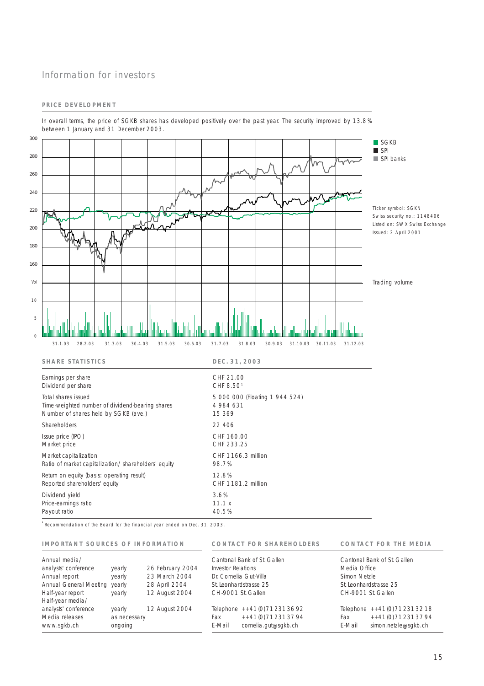## Information for investors

## **PRICE DEVELOPMENT**



In overall terms, the price of SGKB shares has developed positively over the past year. The security improved by 13.8% between 1 January and 31 December 2003.

<sup>1</sup> Recommendation of the Board for the financial year ended on Dec. 31, 2003.

### **IMPORTANT SOURCES OF INFORMATION**

Payout ratio

**CONTACT FOR SHAREHOLDERS CONTACT FOR THE MEDIA**

| Annual media/                 |              |                  |                                        | Cantonal Bank of St. Gallen  |        | Cantonal Bank of St. Gallen     |  |
|-------------------------------|--------------|------------------|----------------------------------------|------------------------------|--------|---------------------------------|--|
| analysts' conference          | yearly       | 26 February 2004 | Investor Relations                     | Media Office                 |        |                                 |  |
| Annual report                 | yearly       | 23 March 2004    | Dr. Cornelia Gut-Villa<br>Simon Netzle |                              |        |                                 |  |
| Annual General Meeting yearly |              | 28 April 2004    | St. Leonhardstrasse 25                 |                              |        | St. Leonhardstrasse 25          |  |
| Half-year report              | yearly       | 12 August 2004   | CH-9001 St. Gallen                     |                              |        | CH-9001 St. Gallen              |  |
| Half-year media/              |              |                  |                                        |                              |        |                                 |  |
| analysts' conference          | yearly       | 12 August 2004   |                                        | Telephone $++41(0)712313692$ |        | Telephone ++41 (0) 71 231 32 18 |  |
| Media releases                | as necessary |                  | Fax                                    | $++41(0)$ 71 231 37 94       | Fax    | ++41(0)712313794                |  |
| www.sgkb.ch                   | ongoing      |                  | E-Mail                                 | cornelia.qut@sqkb.ch         | E-Mail | simon.netzle@sqkb.ch            |  |